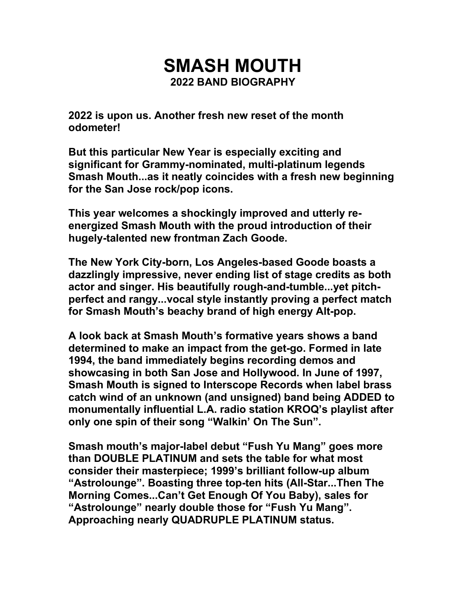## **SMASH MOUTH 2022 BAND BIOGRAPHY**

**2022 is upon us. Another fresh new reset of the month odometer!**

**But this particular New Year is especially exciting and significant for Grammy-nominated, multi-platinum legends Smash Mouth...as it neatly coincides with a fresh new beginning for the San Jose rock/pop icons.**

**This year welcomes a shockingly improved and utterly reenergized Smash Mouth with the proud introduction of their hugely-talented new frontman Zach Goode.**

**The New York City-born, Los Angeles-based Goode boasts a dazzlingly impressive, never ending list of stage credits as both actor and singer. His beautifully rough-and-tumble...yet pitchperfect and rangy...vocal style instantly proving a perfect match for Smash Mouth's beachy brand of high energy Alt-pop.**

**A look back at Smash Mouth's formative years shows a band determined to make an impact from the get-go. Formed in late 1994, the band immediately begins recording demos and showcasing in both San Jose and Hollywood. In June of 1997, Smash Mouth is signed to Interscope Records when label brass catch wind of an unknown (and unsigned) band being ADDED to monumentally influential L.A. radio station KROQ's playlist after only one spin of their song "Walkin' On The Sun".**

**Smash mouth's major-label debut "Fush Yu Mang" goes more than DOUBLE PLATINUM and sets the table for what most consider their masterpiece; 1999's brilliant follow-up album "Astrolounge". Boasting three top-ten hits (All-Star...Then The Morning Comes...Can't Get Enough Of You Baby), sales for "Astrolounge" nearly double those for "Fush Yu Mang". Approaching nearly QUADRUPLE PLATINUM status.**